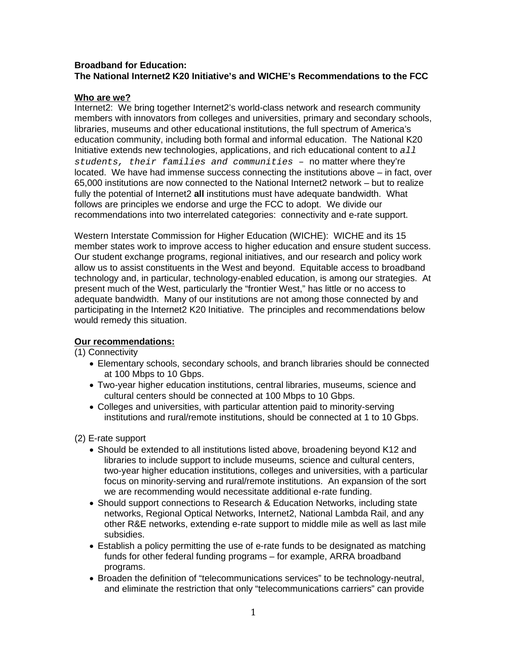### **Broadband for Education:**

### **The National Internet2 K20 Initiative's and WICHE's Recommendations to the FCC**

### **Who are we?**

Internet2: We bring together Internet2's world-class network and research community members with innovators from colleges and universities, primary and secondary schools, libraries, museums and other educational institutions, the full spectrum of America's education community, including both formal and informal education. The National K20 Initiative extends new technologies, applications, and rich educational content to *all students, their families and communities –* no matter where they're located. We have had immense success connecting the institutions above – in fact, over 65,000 institutions are now connected to the National Internet2 network – but to realize fully the potential of Internet2 **all** institutions must have adequate bandwidth. What follows are principles we endorse and urge the FCC to adopt. We divide our recommendations into two interrelated categories: connectivity and e-rate support.

Western Interstate Commission for Higher Education (WICHE): WICHE and its 15 member states work to improve access to higher education and ensure student success. Our student exchange programs, regional initiatives, and our research and policy work allow us to assist constituents in the West and beyond. Equitable access to broadband technology and, in particular, technology-enabled education, is among our strategies. At present much of the West, particularly the "frontier West," has little or no access to adequate bandwidth. Many of our institutions are not among those connected by and participating in the Internet2 K20 Initiative. The principles and recommendations below would remedy this situation.

## **Our recommendations:**

(1) Connectivity

- Elementary schools, secondary schools, and branch libraries should be connected at 100 Mbps to 10 Gbps.
- Two-year higher education institutions, central libraries, museums, science and cultural centers should be connected at 100 Mbps to 10 Gbps.
- Colleges and universities, with particular attention paid to minority-serving institutions and rural/remote institutions, should be connected at 1 to 10 Gbps.

(2) E-rate support

- Should be extended to all institutions listed above, broadening beyond K12 and libraries to include support to include museums, science and cultural centers, two-year higher education institutions, colleges and universities, with a particular focus on minority-serving and rural/remote institutions. An expansion of the sort we are recommending would necessitate additional e-rate funding.
- Should support connections to Research & Education Networks, including state networks, Regional Optical Networks, Internet2, National Lambda Rail, and any other R&E networks, extending e-rate support to middle mile as well as last mile subsidies.
- Establish a policy permitting the use of e-rate funds to be designated as matching funds for other federal funding programs – for example, ARRA broadband programs.
- Broaden the definition of "telecommunications services" to be technology-neutral, and eliminate the restriction that only "telecommunications carriers" can provide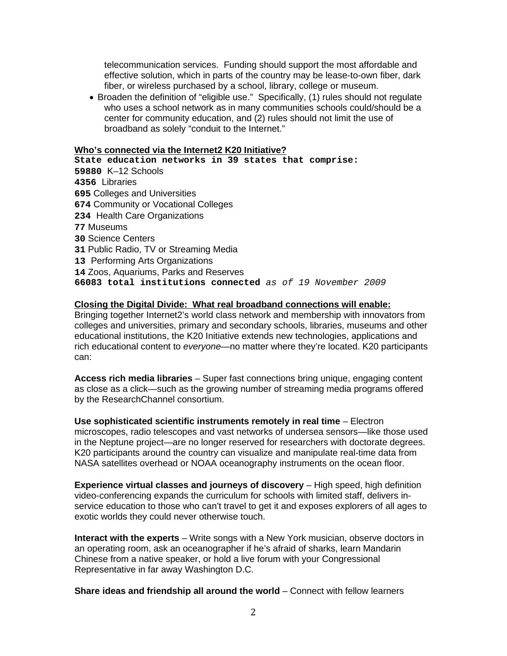telecommunication services. Funding should support the most affordable and effective solution, which in parts of the country may be lease-to-own fiber, dark fiber, or wireless purchased by a school, library, college or museum.

• Broaden the definition of "eligible use." Specifically, (1) rules should not regulate who uses a school network as in many communities schools could/should be a center for community education, and (2) rules should not limit the use of broadband as solely "conduit to the Internet."

### **Who's connected via the Internet2 K20 Initiative?**

**State education networks in 39 states that comprise:** K–12 Schools Libraries Colleges and Universities Community or Vocational Colleges Health Care Organizations **77** Museums Science Centers Public Radio, TV or Streaming Media Performing Arts Organizations Zoos, Aquariums, Parks and Reserves **66083 total institutions connected** *as of 19 November 2009*

# **Closing the Digital Divide: What real broadband connections will enable:**

Bringing together Internet2's world class network and membership with innovators from colleges and universities, primary and secondary schools, libraries, museums and other educational institutions, the K20 Initiative extends new technologies, applications and rich educational content to *everyone*—no matter where they're located. K20 participants can:

**Access rich media libraries** – Super fast connections bring unique, engaging content as close as a click—such as the growing number of streaming media programs offered by the ResearchChannel consortium.

**Use sophisticated scientific instruments remotely in real time** – Electron microscopes, radio telescopes and vast networks of undersea sensors—like those used in the Neptune project—are no longer reserved for researchers with doctorate degrees. K20 participants around the country can visualize and manipulate real-time data from NASA satellites overhead or NOAA oceanography instruments on the ocean floor.

**Experience virtual classes and journeys of discovery** – High speed, high definition video-conferencing expands the curriculum for schools with limited staff, delivers inservice education to those who can't travel to get it and exposes explorers of all ages to exotic worlds they could never otherwise touch.

**Interact with the experts** – Write songs with a New York musician, observe doctors in an operating room, ask an oceanographer if he's afraid of sharks, learn Mandarin Chinese from a native speaker, or hold a live forum with your Congressional Representative in far away Washington D.C.

**Share ideas and friendship all around the world** – Connect with fellow learners